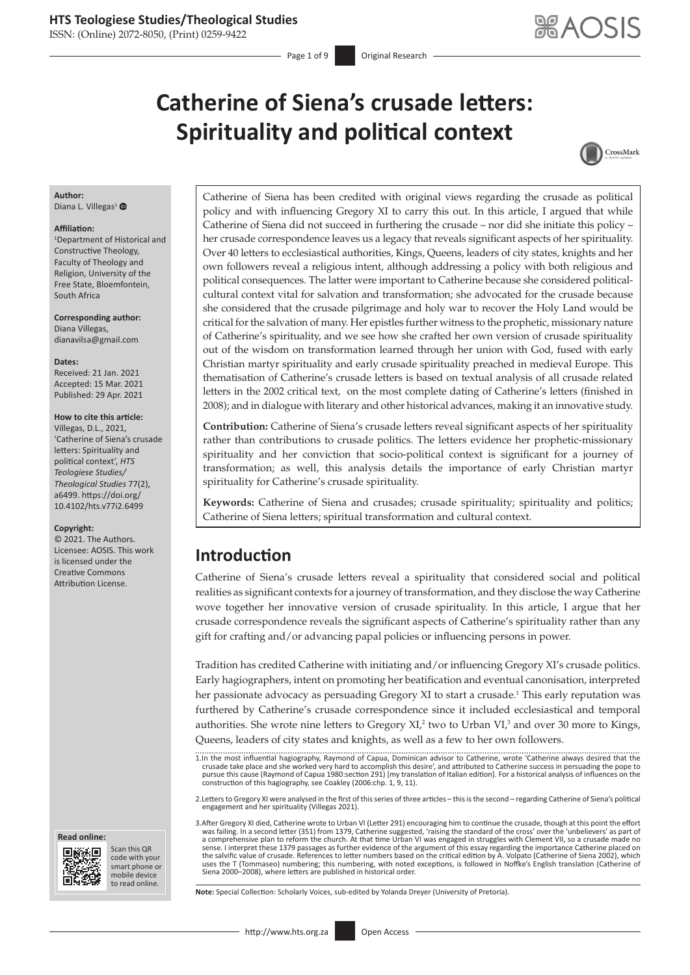ISSN: (Online) 2072-8050, (Print) 0259-9422

Page 1 of 9 **Original Research** 

# **Catherine of Siena's crusade letters: Spirituality and political context**



## **Author:**

Diana L. Villegas<sup>[1](http://orcid.org/0000-0002-6449-3153)</sup>

#### **Affiliation:**

1 Department of Historical and Constructive Theology, Faculty of Theology and Religion, University of the Free State, Bloemfontein, South Africa

**Corresponding author:** Diana Villegas, [dianavilsa@gmail.com](mailto:dianavilsa@gmail.com)

**Dates:** Received: 21 Jan. 2021 Accepted: 15 Mar. 2021 Published: 29 Apr. 2021

#### **How to cite this article:**

Villegas, D.L., 2021, 'Catherine of Siena's crusade letters: Spirituality and political context', *HTS Teologiese Studies/ Theological Studies* 77(2), a6499. [https://doi.org/](https://doi.org/10.4102/hts.v77i2.6499) [10.4102/hts.v77i2.6499](https://doi.org/10.4102/hts.v77i2.6499)

#### **Copyright:**

© 2021. The Authors. Licensee: AOSIS. This work is licensed under the Creative Commons Attribution License.





Scan this QR code with your Scan this QR<br>code with your<br>smart phone or<br>mobile device mobile device to read online. to read online.

Catherine of Siena has been credited with original views regarding the crusade as political policy and with influencing Gregory XI to carry this out. In this article, I argued that while Catherine of Siena did not succeed in furthering the crusade – nor did she initiate this policy – her crusade correspondence leaves us a legacy that reveals significant aspects of her spirituality. Over 40 letters to ecclesiastical authorities, Kings, Queens, leaders of city states, knights and her own followers reveal a religious intent, although addressing a policy with both religious and political consequences. The latter were important to Catherine because she considered politicalcultural context vital for salvation and transformation; she advocated for the crusade because she considered that the crusade pilgrimage and holy war to recover the Holy Land would be critical for the salvation of many. Her epistles further witness to the prophetic, missionary nature of Catherine's spirituality, and we see how she crafted her own version of crusade spirituality out of the wisdom on transformation learned through her union with God, fused with early Christian martyr spirituality and early crusade spirituality preached in medieval Europe. This thematisation of Catherine's crusade letters is based on textual analysis of all crusade related letters in the 2002 critical text, on the most complete dating of Catherine's letters (finished in 2008); and in dialogue with literary and other historical advances, making it an innovative study.

**Contribution:** Catherine of Siena's crusade letters reveal significant aspects of her spirituality rather than contributions to crusade politics. The letters evidence her prophetic-missionary spirituality and her conviction that socio-political context is significant for a journey of transformation; as well, this analysis details the importance of early Christian martyr spirituality for Catherine's crusade spirituality.

**Keywords:** Catherine of Siena and crusades; crusade spirituality; spirituality and politics; Catherine of Siena letters; spiritual transformation and cultural context.

## **Introduction**

Catherine of Siena's crusade letters reveal a spirituality that considered social and political realities as significant contexts for a journey of transformation, and they disclose the way Catherine wove together her innovative version of crusade spirituality. In this article, I argue that her crusade correspondence reveals the significant aspects of Catherine's spirituality rather than any gift for crafting and/or advancing papal policies or influencing persons in power.

Tradition has credited Catherine with initiating and/or influencing Gregory XI's crusade politics. Early hagiographers, intent on promoting her beatification and eventual canonisation, interpreted her passionate advocacy as persuading Gregory XI to start a crusade.<sup>1</sup> This early reputation was furthered by Catherine's crusade correspondence since it included ecclesiastical and temporal authorities. She wrote nine letters to Gregory  $XI^2$  two to Urban VI $^3$  and over 30 more to Kings, Queens, leaders of city states and knights, as well as a few to her own followers.

2.Letters to Gregory XI were analysed in the first of this series of three articles – this is the second – regarding Catherine of Siena's political engagement and her spirituality (Villegas 2021).

3.After Gregory XI died, Catherine wrote to Urban VI (Letter 291) encouraging him to continue the crusade, though at this point the effort was failing. In a second letter (351) from 1379, Catherine suggested, 'raising the standard of the cross' over the 'unbelievers' as part of a comprehensive plan to reform the church. At that time Urban VI was engaged in struggles with Clement VII, so a crusade made no<br>sense. I interpret these 1379 passages as further evidence of the argument of this essay rega the salvific value of crusade. References to letter numbers based on the critical edition by A. Volpato (Catherine of Siena 2002), which<br>uses the T (Tommaseo) numbering; this numbering, with noted exceptions, is followed i

**Note:** Special Collection: Scholarly Voices, sub-edited by Yolanda Dreyer (University of Pretoria).

<sup>1.</sup>In the most influential hagiography, Raymond of Capua, Dominican advisor to Catherine, wrote 'Catherine always desired that the<br>crusade take place and she worked very hard to accomplish this desire', and attributed to Ca pursue this cause (Raymond of Capua 1980:section 291) [my translation of Italian edition]. For a historical analysis of influences on the construction of this hagiography, see Coakley (2006:chp. 1, 9, 11).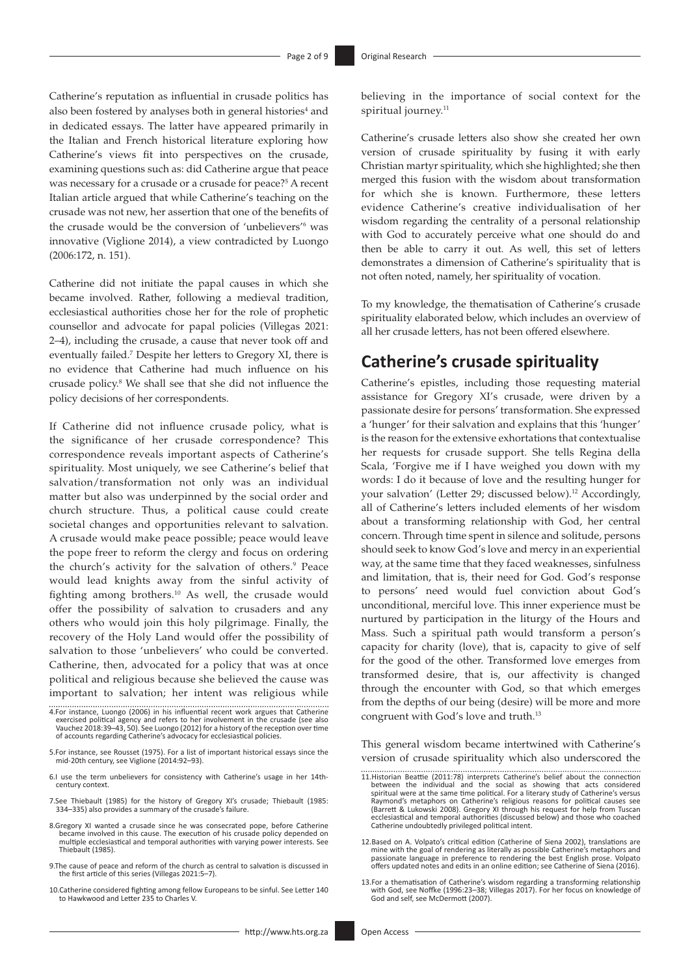Catherine's reputation as influential in crusade politics has also been fostered by analyses both in general histories<sup>4</sup> and in dedicated essays. The latter have appeared primarily in the Italian and French historical literature exploring how Catherine's views fit into perspectives on the crusade, examining questions such as: did Catherine argue that peace was necessary for a crusade or a crusade for peace?<sup>5</sup> A recent Italian article argued that while Catherine's teaching on the crusade was not new, her assertion that one of the benefits of the crusade would be the conversion of 'unbelievers'6 was innovative (Viglione 2014), a view contradicted by Luongo (2006:172, n. 151).

Catherine did not initiate the papal causes in which she became involved. Rather, following a medieval tradition, ecclesiastical authorities chose her for the role of prophetic counsellor and advocate for papal policies (Villegas 2021: 2–4), including the crusade, a cause that never took off and eventually failed.7 Despite her letters to Gregory XI, there is no evidence that Catherine had much influence on his crusade policy.8 We shall see that she did not influence the policy decisions of her correspondents.

If Catherine did not influence crusade policy, what is the significance of her crusade correspondence? This correspondence reveals important aspects of Catherine's spirituality. Most uniquely, we see Catherine's belief that salvation/transformation not only was an individual matter but also was underpinned by the social order and church structure. Thus, a political cause could create societal changes and opportunities relevant to salvation. A crusade would make peace possible; peace would leave the pope freer to reform the clergy and focus on ordering the church's activity for the salvation of others.<sup>9</sup> Peace would lead knights away from the sinful activity of fighting among brothers.10 As well, the crusade would offer the possibility of salvation to crusaders and any others who would join this holy pilgrimage. Finally, the recovery of the Holy Land would offer the possibility of salvation to those 'unbelievers' who could be converted. Catherine, then, advocated for a policy that was at once political and religious because she believed the cause was important to salvation; her intent was religious while

7.See Thiebault (1985) for the history of Gregory XI's crusade; Thiebault (1985: 334–335) also provides a summary of the crusade's failure.

- 8.Gregory XI wanted a crusade since he was consecrated pope, before Catherine became involved in this cause. The execution of his crusade policy depended on multiple ecclesiastical and temporal authorities with varying power interests. See Thiebault (1985).
- 9.The cause of peace and reform of the church as central to salvation is discussed in the first article of this series (Villegas 2021:5–7).
- 10.Catherine considered fighting among fellow Europeans to be sinful. See Letter 140 to Hawkwood and Letter 235 to Charles V.

believing in the importance of social context for the spiritual journey.<sup>11</sup>

Catherine's crusade letters also show she created her own version of crusade spirituality by fusing it with early Christian martyr spirituality, which she highlighted; she then merged this fusion with the wisdom about transformation for which she is known. Furthermore, these letters evidence Catherine's creative individualisation of her wisdom regarding the centrality of a personal relationship with God to accurately perceive what one should do and then be able to carry it out. As well, this set of letters demonstrates a dimension of Catherine's spirituality that is not often noted, namely, her spirituality of vocation.

To my knowledge, the thematisation of Catherine's crusade spirituality elaborated below, which includes an overview of all her crusade letters, has not been offered elsewhere.

## **Catherine's crusade spirituality**

Catherine's epistles, including those requesting material assistance for Gregory XI's crusade, were driven by a passionate desire for persons' transformation. She expressed a 'hunger' for their salvation and explains that this 'hunger' is the reason for the extensive exhortations that contextualise her requests for crusade support. She tells Regina della Scala, 'Forgive me if I have weighed you down with my words: I do it because of love and the resulting hunger for your salvation' (Letter 29; discussed below).<sup>12</sup> Accordingly, all of Catherine's letters included elements of her wisdom about a transforming relationship with God, her central concern. Through time spent in silence and solitude, persons should seek to know God's love and mercy in an experiential way, at the same time that they faced weaknesses, sinfulness and limitation, that is, their need for God. God's response to persons' need would fuel conviction about God's unconditional, merciful love. This inner experience must be nurtured by participation in the liturgy of the Hours and Mass. Such a spiritual path would transform a person's capacity for charity (love), that is, capacity to give of self for the good of the other. Transformed love emerges from transformed desire, that is, our affectivity is changed through the encounter with God, so that which emerges from the depths of our being (desire) will be more and more congruent with God's love and truth.13

This general wisdom became intertwined with Catherine's version of crusade spirituality which also underscored the

- 12.Based on A. Volpato's critical edition (Catherine of Siena 2002), translations are mine with the goal of rendering as literally as possible Catherine's metaphors and passionate language in preference to rendering the best English prose. Volpato offers updated notes and edits in an online edition; see Catherine of Siena (2016).
- 13.For a thematisation of Catherine's wisdom regarding a transforming relationship with God, see Noffke (1996:23–38; Villegas 2017). For her focus on knowledge of God and self, see McDermott (2007).

<sup>4.</sup>For instance, Luongo (2006) in his influential recent work argues that Catherine exercised political agency and refers to her involvement in the crusade (see also Vauchez 2018:39–43, 50). See Luongo (2012) for a history of the reception over time of accounts regarding Catherine's advocacy for ecclesiastical policies.

<sup>5.</sup>For instance, see Rousset (1975). For a list of important historical essays since the mid-20th century, see Viglione (2014:92–93).

<sup>6.</sup>I use the term unbelievers for consistency with Catherine's usage in her 14thcentury context.

<sup>11.</sup>Historian Beattie (2011:78) interprets Catherine's belief about the connection between the individual and the social as showing that acts considered spiritual were at the same time political. For a literary study of Catherine's versus Raymond's metaphors on Catherine's religious reasons for political causes see (Barrett & Lukowski 2008). Gregory XI through his request for help from Tuscan ecclesiastical and temporal authorities (discussed below) and those who coached Catherine undoubtedly privileged political intent.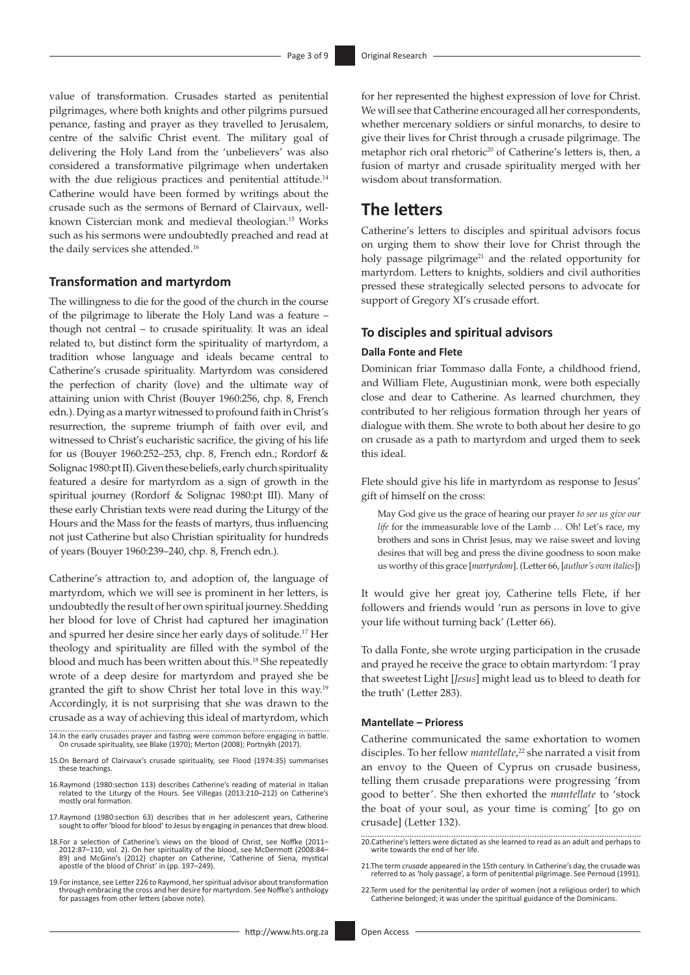value of transformation. Crusades started as penitential pilgrimages, where both knights and other pilgrims pursued penance, fasting and prayer as they travelled to Jerusalem, centre of the salvific Christ event. The military goal of delivering the Holy Land from the 'unbelievers' was also considered a transformative pilgrimage when undertaken with the due religious practices and penitential attitude.<sup>14</sup> Catherine would have been formed by writings about the crusade such as the sermons of Bernard of Clairvaux, wellknown Cistercian monk and medieval theologian.15 Works such as his sermons were undoubtedly preached and read at the daily services she attended.16

#### **Transformation and martyrdom**

The willingness to die for the good of the church in the course of the pilgrimage to liberate the Holy Land was a feature – though not central – to crusade spirituality. It was an ideal related to, but distinct form the spirituality of martyrdom, a tradition whose language and ideals became central to Catherine's crusade spirituality. Martyrdom was considered the perfection of charity (love) and the ultimate way of attaining union with Christ (Bouyer 1960:256, chp. 8, French edn.). Dying as a martyr witnessed to profound faith in Christ's resurrection, the supreme triumph of faith over evil, and witnessed to Christ's eucharistic sacrifice, the giving of his life for us (Bouyer 1960:252–253, chp. 8, French edn.; Rordorf & Solignac 1980:pt II). Given these beliefs, early church spirituality featured a desire for martyrdom as a sign of growth in the spiritual journey (Rordorf & Solignac 1980:pt III). Many of these early Christian texts were read during the Liturgy of the Hours and the Mass for the feasts of martyrs, thus influencing not just Catherine but also Christian spirituality for hundreds of years (Bouyer 1960:239–240, chp. 8, French edn.).

Catherine's attraction to, and adoption of, the language of martyrdom, which we will see is prominent in her letters, is undoubtedly the result of her own spiritual journey. Shedding her blood for love of Christ had captured her imagination and spurred her desire since her early days of solitude.17 Her theology and spirituality are filled with the symbol of the blood and much has been written about this.18 She repeatedly wrote of a deep desire for martyrdom and prayed she be granted the gift to show Christ her total love in this way.19 Accordingly, it is not surprising that she was drawn to the crusade as a way of achieving this ideal of martyrdom, which

- 14.In the early crusades prayer and fasting were common before engaging in battle. On crusade spirituality, see Blake (1970); Merton (2008); Portnykh (2017).
- 15.On Bernard of Clairvaux's crusade spirituality, see Flood (1974:35) summarises these teachings.
- 16.Raymond (1980:section 113) describes Catherine's reading of material in Italian related to the Liturgy of the Hours. See Villegas (2013:210–212) on Catherine's mostly oral formation.
- 17.Raymond (1980:section 63) describes that in her adolescent years, Catherine sought to offer 'blood for blood' to Jesus by engaging in penances that drew blood.
- 18.For a selection of Catherine's views on the blood of Christ, see Noffke (2011– 2012:87–110, vol. 2). On her spirituality of the blood, see McDermott (2008:84– 89) and McGinn's (2012) chapter on Catherine, 'Catherine of Siena, mystical apostle of the blood of Christ' in (pp. 197–249).
- 19.For instance, see Letter 226 to Raymond, her spiritual advisor about transformation through embracing the cross and her desire for martyrdom. See Noffke's anthology for passages from other letters (above note).

for her represented the highest expression of love for Christ. We will see that Catherine encouraged all her correspondents, whether mercenary soldiers or sinful monarchs, to desire to give their lives for Christ through a crusade pilgrimage. The metaphor rich oral rhetoric<sup>20</sup> of Catherine's letters is, then, a fusion of martyr and crusade spirituality merged with her wisdom about transformation.

## **The letters**

Catherine's letters to disciples and spiritual advisors focus on urging them to show their love for Christ through the holy passage pilgrimage<sup>21</sup> and the related opportunity for martyrdom. Letters to knights, soldiers and civil authorities pressed these strategically selected persons to advocate for support of Gregory XI's crusade effort.

#### **To disciples and spiritual advisors**

#### **Dalla Fonte and Flete**

Dominican friar Tommaso dalla Fonte, a childhood friend, and William Flete, Augustinian monk, were both especially close and dear to Catherine. As learned churchmen, they contributed to her religious formation through her years of dialogue with them. She wrote to both about her desire to go on crusade as a path to martyrdom and urged them to seek this ideal.

Flete should give his life in martyrdom as response to Jesus' gift of himself on the cross:

May God give us the grace of hearing our prayer *to see us give our life* for the immeasurable love of the Lamb … Oh! Let's race, my brothers and sons in Christ Jesus, may we raise sweet and loving desires that will beg and press the divine goodness to soon make us worthy of this grace [*martyrdom*]. (Letter 66, [*author's own italics*])

It would give her great joy, Catherine tells Flete, if her followers and friends would 'run as persons in love to give your life without turning back' (Letter 66).

To dalla Fonte, she wrote urging participation in the crusade and prayed he receive the grace to obtain martyrdom: 'I pray that sweetest Light [*Jesus*] might lead us to bleed to death for the truth' (Letter 283).

#### **Mantellate – Prioress**

Catherine communicated the same exhortation to women disciples. To her fellow *mantellate*, <sup>22</sup> she narrated a visit from an envoy to the Queen of Cyprus on crusade business, telling them crusade preparations were progressing 'from good to better'. She then exhorted the *mantellate* to 'stock the boat of your soul, as your time is coming' [to go on crusade] (Letter 132).

20.Catherine's letters were dictated as she learned to read as an adult and perhaps to write towards the end of her life.

- 21.The term *crusade* appeared in the 15th century. In Catherine's day, the crusade was referred to as 'holy passage', a form of penitential pilgrimage. See Pernoud (1991).
- 22.Term used for the penitential lay order of women (not a religious order) to which Catherine belonged; it was under the spiritual guidance of the Dominicans.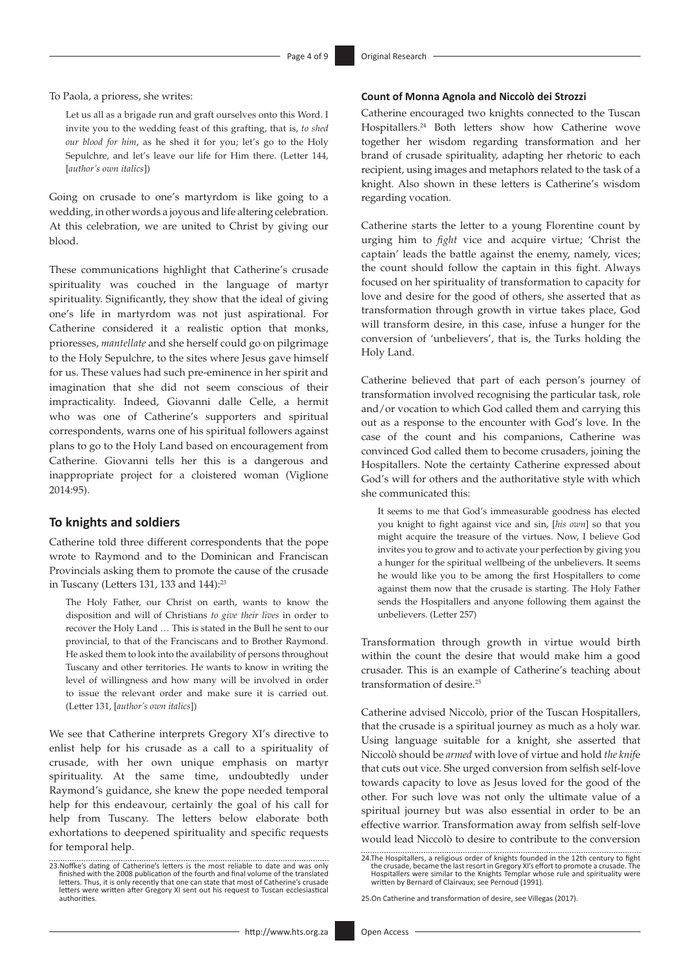To Paola, a prioress, she writes:

Let us all as a brigade run and graft ourselves onto this Word. I invite you to the wedding feast of this grafting, that is, *to shed our blood for him*, as he shed it for you; let's go to the Holy Sepulchre, and let's leave our life for Him there. (Letter 144, [*author's own italics*])

Going on crusade to one's martyrdom is like going to a wedding, in other words a joyous and life altering celebration. At this celebration, we are united to Christ by giving our blood.

These communications highlight that Catherine's crusade spirituality was couched in the language of martyr spirituality. Significantly, they show that the ideal of giving one's life in martyrdom was not just aspirational. For Catherine considered it a realistic option that monks, prioresses, *mantellate* and she herself could go on pilgrimage to the Holy Sepulchre, to the sites where Jesus gave himself for us. These values had such pre-eminence in her spirit and imagination that she did not seem conscious of their impracticality. Indeed, Giovanni dalle Celle, a hermit who was one of Catherine's supporters and spiritual correspondents, warns one of his spiritual followers against plans to go to the Holy Land based on encouragement from Catherine. Giovanni tells her this is a dangerous and inappropriate project for a cloistered woman (Viglione 2014:95).

#### **To knights and soldiers**

Catherine told three different correspondents that the pope wrote to Raymond and to the Dominican and Franciscan Provincials asking them to promote the cause of the crusade in Tuscany (Letters 131, 133 and 144):23

The Holy Father, our Christ on earth, wants to know the disposition and will of Christians *to give their lives* in order to recover the Holy Land … This is stated in the Bull he sent to our provincial, to that of the Franciscans and to Brother Raymond. He asked them to look into the availability of persons throughout Tuscany and other territories. He wants to know in writing the level of willingness and how many will be involved in order to issue the relevant order and make sure it is carried out. (Letter 131, [*author's own italics*])

We see that Catherine interprets Gregory XI's directive to enlist help for his crusade as a call to a spirituality of crusade, with her own unique emphasis on martyr spirituality. At the same time, undoubtedly under Raymond's guidance, she knew the pope needed temporal help for this endeavour, certainly the goal of his call for help from Tuscany. The letters below elaborate both exhortations to deepened spirituality and specific requests for temporal help.

#### **Count of Monna Agnola and Niccolò dei Strozzi**

Catherine encouraged two knights connected to the Tuscan Hospitallers.24 Both letters show how Catherine wove together her wisdom regarding transformation and her brand of crusade spirituality, adapting her rhetoric to each recipient, using images and metaphors related to the task of a knight. Also shown in these letters is Catherine's wisdom regarding vocation.

Catherine starts the letter to a young Florentine count by urging him to *fight* vice and acquire virtue; 'Christ the captain' leads the battle against the enemy, namely, vices; the count should follow the captain in this fight. Always focused on her spirituality of transformation to capacity for love and desire for the good of others, she asserted that as transformation through growth in virtue takes place, God will transform desire, in this case, infuse a hunger for the conversion of 'unbelievers', that is, the Turks holding the Holy Land.

Catherine believed that part of each person's journey of transformation involved recognising the particular task, role and/or vocation to which God called them and carrying this out as a response to the encounter with God's love. In the case of the count and his companions, Catherine was convinced God called them to become crusaders, joining the Hospitallers. Note the certainty Catherine expressed about God's will for others and the authoritative style with which she communicated this:

It seems to me that God's immeasurable goodness has elected you knight to fight against vice and sin, [*his own*] so that you might acquire the treasure of the virtues. Now, I believe God invites you to grow and to activate your perfection by giving you a hunger for the spiritual wellbeing of the unbelievers. It seems he would like you to be among the first Hospitallers to come against them now that the crusade is starting. The Holy Father sends the Hospitallers and anyone following them against the unbelievers. (Letter 257)

Transformation through growth in virtue would birth within the count the desire that would make him a good crusader. This is an example of Catherine's teaching about transformation of desire.25

Catherine advised Niccolò, prior of the Tuscan Hospitallers, that the crusade is a spiritual journey as much as a holy war. Using language suitable for a knight, she asserted that Niccolò should be *armed* with love of virtue and hold *the knif*e that cuts out vice. She urged conversion from selfish self-love towards capacity to love as Jesus loved for the good of the other. For such love was not only the ultimate value of a spiritual journey but was also essential in order to be an effective warrior. Transformation away from selfish self-love would lead Niccolò to desire to contribute to the conversion

25.On Catherine and transformation of desire, see Villegas (2017).

<sup>23.</sup>Noffke's dating of Catherine's letters is the most reliable to date and was only finished with the 2008 publication of the fourth and final volume of the translated letters. Thus, it is only recently that one can state that most of Catherine's crusade letters were written after Gregory XI sent out his request to Tuscan ecclesiastical authorities.

<sup>24.</sup>The Hospitallers, a religious order of knights founded in the 12th century to fight the crusade, became the last resort in Gregory XI's effort to promote a crusade. The Hospitallers were similar to the Knights Templar whose rule and spirituality were written by Bernard of Clairvaux; see Pernoud (1991).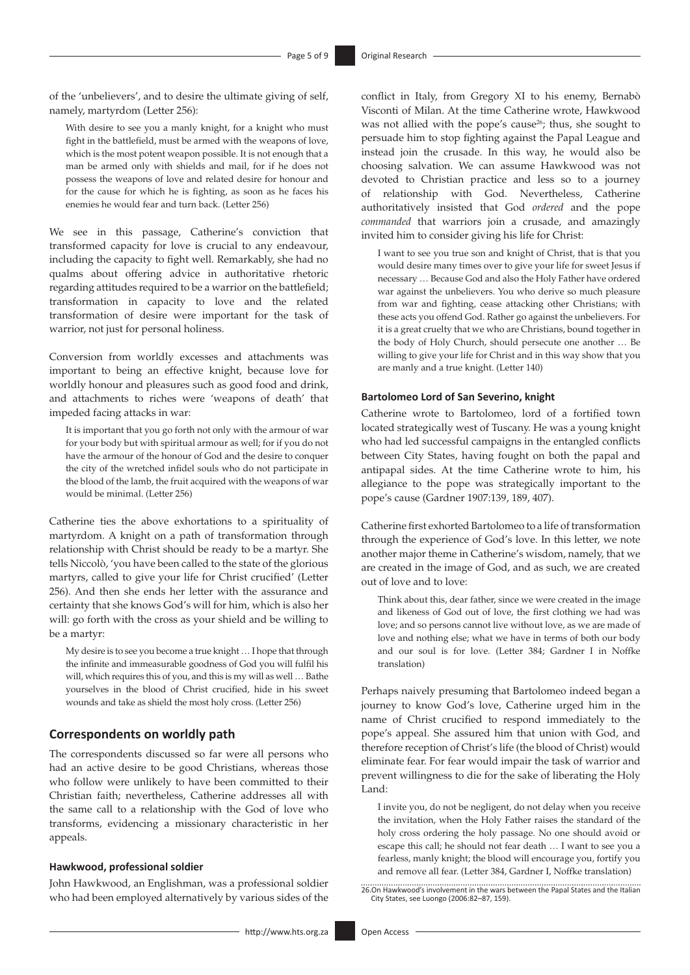of the 'unbelievers', and to desire the ultimate giving of self, namely, martyrdom (Letter 256):

With desire to see you a manly knight, for a knight who must fight in the battlefield, must be armed with the weapons of love, which is the most potent weapon possible. It is not enough that a man be armed only with shields and mail, for if he does not possess the weapons of love and related desire for honour and for the cause for which he is fighting, as soon as he faces his enemies he would fear and turn back. (Letter 256)

We see in this passage, Catherine's conviction that transformed capacity for love is crucial to any endeavour, including the capacity to fight well. Remarkably, she had no qualms about offering advice in authoritative rhetoric regarding attitudes required to be a warrior on the battlefield; transformation in capacity to love and the related transformation of desire were important for the task of warrior, not just for personal holiness.

Conversion from worldly excesses and attachments was important to being an effective knight, because love for worldly honour and pleasures such as good food and drink, and attachments to riches were 'weapons of death' that impeded facing attacks in war:

It is important that you go forth not only with the armour of war for your body but with spiritual armour as well; for if you do not have the armour of the honour of God and the desire to conquer the city of the wretched infidel souls who do not participate in the blood of the lamb, the fruit acquired with the weapons of war would be minimal. (Letter 256)

Catherine ties the above exhortations to a spirituality of martyrdom. A knight on a path of transformation through relationship with Christ should be ready to be a martyr. She tells Niccolò, 'you have been called to the state of the glorious martyrs, called to give your life for Christ crucified' (Letter 256). And then she ends her letter with the assurance and certainty that she knows God's will for him, which is also her will: go forth with the cross as your shield and be willing to be a martyr:

My desire is to see you become a true knight … I hope that through the infinite and immeasurable goodness of God you will fulfil his will, which requires this of you, and this is my will as well … Bathe yourselves in the blood of Christ crucified, hide in his sweet wounds and take as shield the most holy cross. (Letter 256)

#### **Correspondents on worldly path**

The correspondents discussed so far were all persons who had an active desire to be good Christians, whereas those who follow were unlikely to have been committed to their Christian faith; nevertheless, Catherine addresses all with the same call to a relationship with the God of love who transforms, evidencing a missionary characteristic in her appeals.

#### **Hawkwood, professional soldier**

John Hawkwood, an Englishman, was a professional soldier who had been employed alternatively by various sides of the conflict in Italy, from Gregory XI to his enemy, Bernabò Visconti of Milan. At the time Catherine wrote, Hawkwood was not allied with the pope's cause<sup>26</sup>; thus, she sought to persuade him to stop fighting against the Papal League and instead join the crusade. In this way, he would also be choosing salvation. We can assume Hawkwood was not devoted to Christian practice and less so to a journey of relationship with God. Nevertheless, Catherine authoritatively insisted that God *ordered* and the pope *commanded* that warriors join a crusade, and amazingly invited him to consider giving his life for Christ:

I want to see you true son and knight of Christ, that is that you would desire many times over to give your life for sweet Jesus if necessary … Because God and also the Holy Father have ordered war against the unbelievers. You who derive so much pleasure from war and fighting, cease attacking other Christians; with these acts you offend God. Rather go against the unbelievers. For it is a great cruelty that we who are Christians, bound together in the body of Holy Church, should persecute one another … Be willing to give your life for Christ and in this way show that you are manly and a true knight. (Letter 140)

#### **Bartolomeo Lord of San Severino, knight**

Catherine wrote to Bartolomeo, lord of a fortified town located strategically west of Tuscany. He was a young knight who had led successful campaigns in the entangled conflicts between City States, having fought on both the papal and antipapal sides. At the time Catherine wrote to him, his allegiance to the pope was strategically important to the pope's cause (Gardner 1907:139, 189, 407).

Catherine first exhorted Bartolomeo to a life of transformation through the experience of God's love. In this letter, we note another major theme in Catherine's wisdom, namely, that we are created in the image of God, and as such, we are created out of love and to love:

Think about this, dear father, since we were created in the image and likeness of God out of love, the first clothing we had was love; and so persons cannot live without love, as we are made of love and nothing else; what we have in terms of both our body and our soul is for love. (Letter 384; Gardner I in Noffke translation)

Perhaps naively presuming that Bartolomeo indeed began a journey to know God's love, Catherine urged him in the name of Christ crucified to respond immediately to the pope's appeal. She assured him that union with God, and therefore reception of Christ's life (the blood of Christ) would eliminate fear. For fear would impair the task of warrior and prevent willingness to die for the sake of liberating the Holy Land:

I invite you, do not be negligent, do not delay when you receive the invitation, when the Holy Father raises the standard of the holy cross ordering the holy passage. No one should avoid or escape this call; he should not fear death … I want to see you a fearless, manly knight; the blood will encourage you, fortify you and remove all fear. (Letter 384, Gardner I, Noffke translation)

26.On Hawkwood's involvement in the wars between the Papal States and the Italian City States, see Luongo (2006:82–87, 159).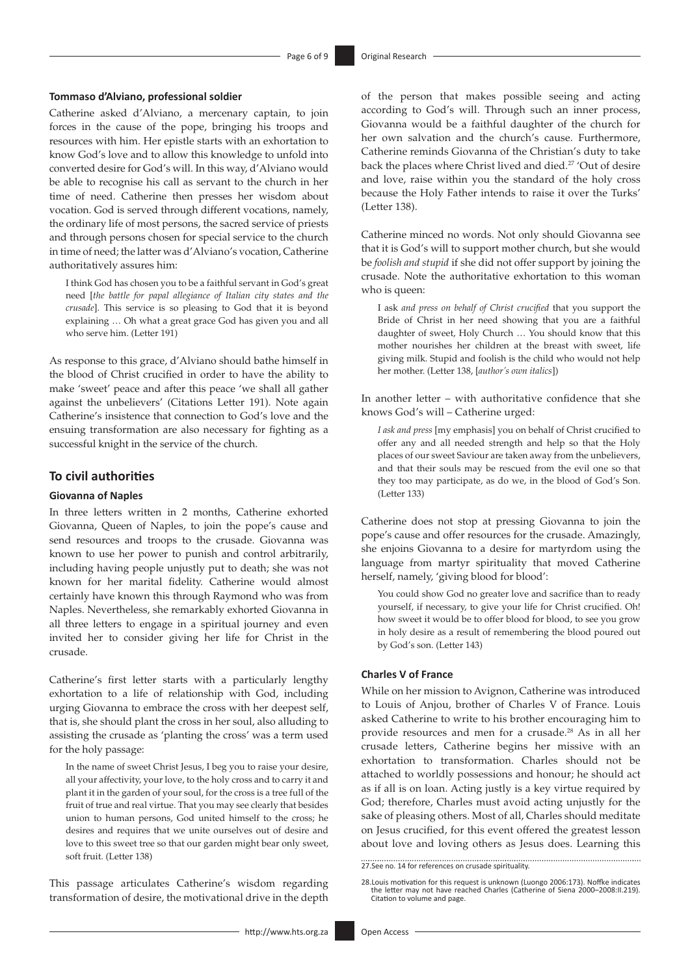#### **Tommaso d'Alviano, professional soldier**

Catherine asked d'Alviano, a mercenary captain, to join forces in the cause of the pope, bringing his troops and resources with him. Her epistle starts with an exhortation to know God's love and to allow this knowledge to unfold into converted desire for God's will. In this way, d'Alviano would be able to recognise his call as servant to the church in her time of need. Catherine then presses her wisdom about vocation. God is served through different vocations, namely, the ordinary life of most persons, the sacred service of priests and through persons chosen for special service to the church in time of need; the latter was d'Alviano's vocation, Catherine authoritatively assures him:

I think God has chosen you to be a faithful servant in God's great need [*the battle for papal allegiance of Italian city states and the crusade*]. This service is so pleasing to God that it is beyond explaining … Oh what a great grace God has given you and all who serve him. (Letter 191)

As response to this grace, d'Alviano should bathe himself in the blood of Christ crucified in order to have the ability to make 'sweet' peace and after this peace 'we shall all gather against the unbelievers' (Citations Letter 191). Note again Catherine's insistence that connection to God's love and the ensuing transformation are also necessary for fighting as a successful knight in the service of the church.

#### **To civil authorities**

#### **Giovanna of Naples**

In three letters written in 2 months, Catherine exhorted Giovanna, Queen of Naples, to join the pope's cause and send resources and troops to the crusade. Giovanna was known to use her power to punish and control arbitrarily, including having people unjustly put to death; she was not known for her marital fidelity. Catherine would almost certainly have known this through Raymond who was from Naples. Nevertheless, she remarkably exhorted Giovanna in all three letters to engage in a spiritual journey and even invited her to consider giving her life for Christ in the crusade.

Catherine's first letter starts with a particularly lengthy exhortation to a life of relationship with God, including urging Giovanna to embrace the cross with her deepest self, that is, she should plant the cross in her soul, also alluding to assisting the crusade as 'planting the cross' was a term used for the holy passage:

In the name of sweet Christ Jesus, I beg you to raise your desire, all your affectivity, your love, to the holy cross and to carry it and plant it in the garden of your soul, for the cross is a tree full of the fruit of true and real virtue. That you may see clearly that besides union to human persons, God united himself to the cross; he desires and requires that we unite ourselves out of desire and love to this sweet tree so that our garden might bear only sweet, soft fruit. (Letter 138)

This passage articulates Catherine's wisdom regarding transformation of desire, the motivational drive in the depth

of the person that makes possible seeing and acting according to God's will. Through such an inner process, Giovanna would be a faithful daughter of the church for her own salvation and the church's cause. Furthermore, Catherine reminds Giovanna of the Christian's duty to take back the places where Christ lived and died.<sup>27</sup> 'Out of desire and love, raise within you the standard of the holy cross because the Holy Father intends to raise it over the Turks' (Letter 138).

Catherine minced no words. Not only should Giovanna see that it is God's will to support mother church, but she would be *foolish and stupid* if she did not offer support by joining the crusade. Note the authoritative exhortation to this woman who is queen:

I ask *and press on behalf of Christ crucified* that you support the Bride of Christ in her need showing that you are a faithful daughter of sweet, Holy Church … You should know that this mother nourishes her children at the breast with sweet, life giving milk. Stupid and foolish is the child who would not help her mother. (Letter 138, [*author's own italics*])

In another letter – with authoritative confidence that she knows God's will – Catherine urged:

*I ask and press* [my emphasis] you on behalf of Christ crucified to offer any and all needed strength and help so that the Holy places of our sweet Saviour are taken away from the unbelievers, and that their souls may be rescued from the evil one so that they too may participate, as do we, in the blood of God's Son. (Letter 133)

Catherine does not stop at pressing Giovanna to join the pope's cause and offer resources for the crusade. Amazingly, she enjoins Giovanna to a desire for martyrdom using the language from martyr spirituality that moved Catherine herself, namely, 'giving blood for blood':

You could show God no greater love and sacrifice than to ready yourself, if necessary, to give your life for Christ crucified. Oh! how sweet it would be to offer blood for blood, to see you grow in holy desire as a result of remembering the blood poured out by God's son. (Letter 143)

#### **Charles V of France**

While on her mission to Avignon, Catherine was introduced to Louis of Anjou, brother of Charles V of France. Louis asked Catherine to write to his brother encouraging him to provide resources and men for a crusade.28 As in all her crusade letters, Catherine begins her missive with an exhortation to transformation. Charles should not be attached to worldly possessions and honour; he should act as if all is on loan. Acting justly is a key virtue required by God; therefore, Charles must avoid acting unjustly for the sake of pleasing others. Most of all, Charles should meditate on Jesus crucified, for this event offered the greatest lesson about love and loving others as Jesus does. Learning this

27.See no. 14 for references on crusade spirituality.

<sup>28.</sup>Louis motivation for this request is unknown (Luongo 2006:173). Noffke indicates the letter may not have reached Charles (Catherine of Siena 2000–2008:II.219). Citation to volume and page.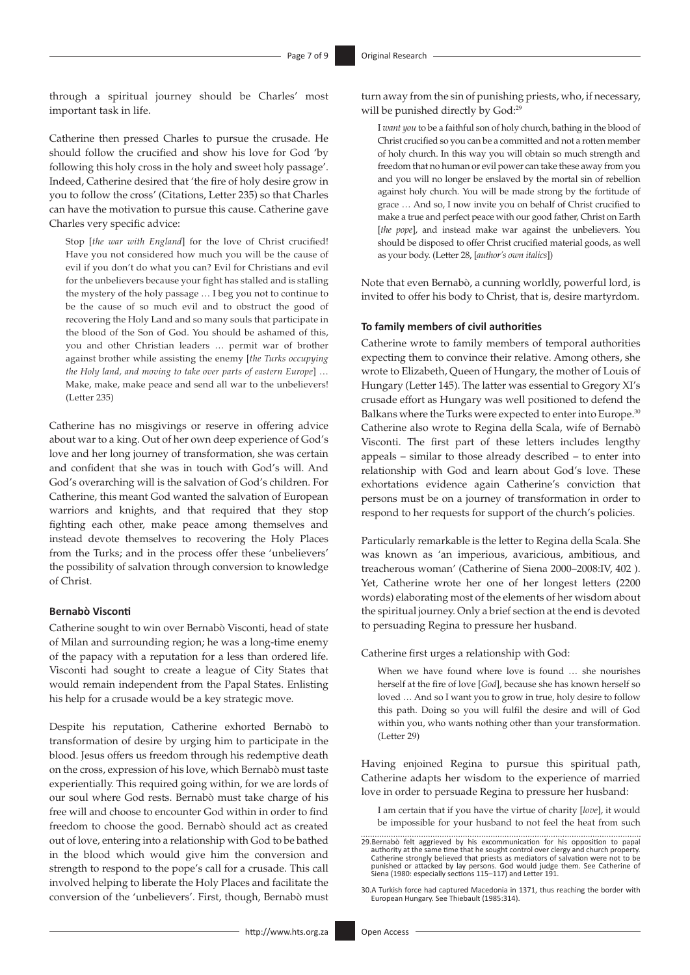through a spiritual journey should be Charles' most important task in life.

Catherine then pressed Charles to pursue the crusade. He should follow the crucified and show his love for God 'by following this holy cross in the holy and sweet holy passage'. Indeed, Catherine desired that 'the fire of holy desire grow in you to follow the cross' (Citations, Letter 235) so that Charles can have the motivation to pursue this cause. Catherine gave Charles very specific advice:

Stop [*the war with England*] for the love of Christ crucified! Have you not considered how much you will be the cause of evil if you don't do what you can? Evil for Christians and evil for the unbelievers because your fight has stalled and is stalling the mystery of the holy passage … I beg you not to continue to be the cause of so much evil and to obstruct the good of recovering the Holy Land and so many souls that participate in the blood of the Son of God. You should be ashamed of this, you and other Christian leaders … permit war of brother against brother while assisting the enemy [*the Turks occupying the Holy land, and moving to take over parts of eastern Europe*] … Make, make, make peace and send all war to the unbelievers! (Letter 235)

Catherine has no misgivings or reserve in offering advice about war to a king. Out of her own deep experience of God's love and her long journey of transformation, she was certain and confident that she was in touch with God's will. And God's overarching will is the salvation of God's children. For Catherine, this meant God wanted the salvation of European warriors and knights, and that required that they stop fighting each other, make peace among themselves and instead devote themselves to recovering the Holy Places from the Turks; and in the process offer these 'unbelievers' the possibility of salvation through conversion to knowledge of Christ.

#### **Bernabò Visconti**

Catherine sought to win over Bernabò Visconti, head of state of Milan and surrounding region; he was a long-time enemy of the papacy with a reputation for a less than ordered life. Visconti had sought to create a league of City States that would remain independent from the Papal States. Enlisting his help for a crusade would be a key strategic move.

Despite his reputation, Catherine exhorted Bernabò to transformation of desire by urging him to participate in the blood. Jesus offers us freedom through his redemptive death on the cross, expression of his love, which Bernabò must taste experientially. This required going within, for we are lords of our soul where God rests. Bernabò must take charge of his free will and choose to encounter God within in order to find freedom to choose the good. Bernabò should act as created out of love, entering into a relationship with God to be bathed in the blood which would give him the conversion and strength to respond to the pope's call for a crusade. This call involved helping to liberate the Holy Places and facilitate the conversion of the 'unbelievers'. First, though, Bernabò must turn away from the sin of punishing priests, who, if necessary, will be punished directly by God:<sup>29</sup>

I *want you* to be a faithful son of holy church, bathing in the blood of Christ crucified so you can be a committed and not a rotten member of holy church. In this way you will obtain so much strength and freedom that no human or evil power can take these away from you and you will no longer be enslaved by the mortal sin of rebellion against holy church. You will be made strong by the fortitude of grace … And so, I now invite you on behalf of Christ crucified to make a true and perfect peace with our good father, Christ on Earth [*the pope*], and instead make war against the unbelievers. You should be disposed to offer Christ crucified material goods, as well as your body. (Letter 28, [*author's own italics*])

Note that even Bernabò, a cunning worldly, powerful lord, is invited to offer his body to Christ, that is, desire martyrdom.

#### **To family members of civil authorities**

Catherine wrote to family members of temporal authorities expecting them to convince their relative. Among others, she wrote to Elizabeth, Queen of Hungary, the mother of Louis of Hungary (Letter 145). The latter was essential to Gregory XI's crusade effort as Hungary was well positioned to defend the Balkans where the Turks were expected to enter into Europe.<sup>30</sup> Catherine also wrote to Regina della Scala, wife of Bernabò Visconti. The first part of these letters includes lengthy appeals – similar to those already described – to enter into relationship with God and learn about God's love. These exhortations evidence again Catherine's conviction that persons must be on a journey of transformation in order to respond to her requests for support of the church's policies.

Particularly remarkable is the letter to Regina della Scala. She was known as 'an imperious, avaricious, ambitious, and treacherous woman' (Catherine of Siena 2000–2008:IV, 402 ). Yet, Catherine wrote her one of her longest letters (2200 words) elaborating most of the elements of her wisdom about the spiritual journey. Only a brief section at the end is devoted to persuading Regina to pressure her husband.

Catherine first urges a relationship with God:

When we have found where love is found … she nourishes herself at the fire of love [*God*], because she has known herself so loved … And so I want you to grow in true, holy desire to follow this path. Doing so you will fulfil the desire and will of God within you, who wants nothing other than your transformation. (Letter 29)

Having enjoined Regina to pursue this spiritual path, Catherine adapts her wisdom to the experience of married love in order to persuade Regina to pressure her husband:

I am certain that if you have the virtue of charity [*love*], it would be impossible for your husband to not feel the heat from such

29.Bernabò felt aggrieved by his excommunication for his opposition to papal authority at the same time that he sought control over clergy and church property. Catherine strongly believed that priests as mediators of salvation were not to be punished or attacked by lay persons. God would judge them. See Catherine of Siena (1980: especially sections 115–117) and Letter 191.

30.A Turkish force had captured Macedonia in 1371, thus reaching the border with European Hungary. See Thiebault (1985:314).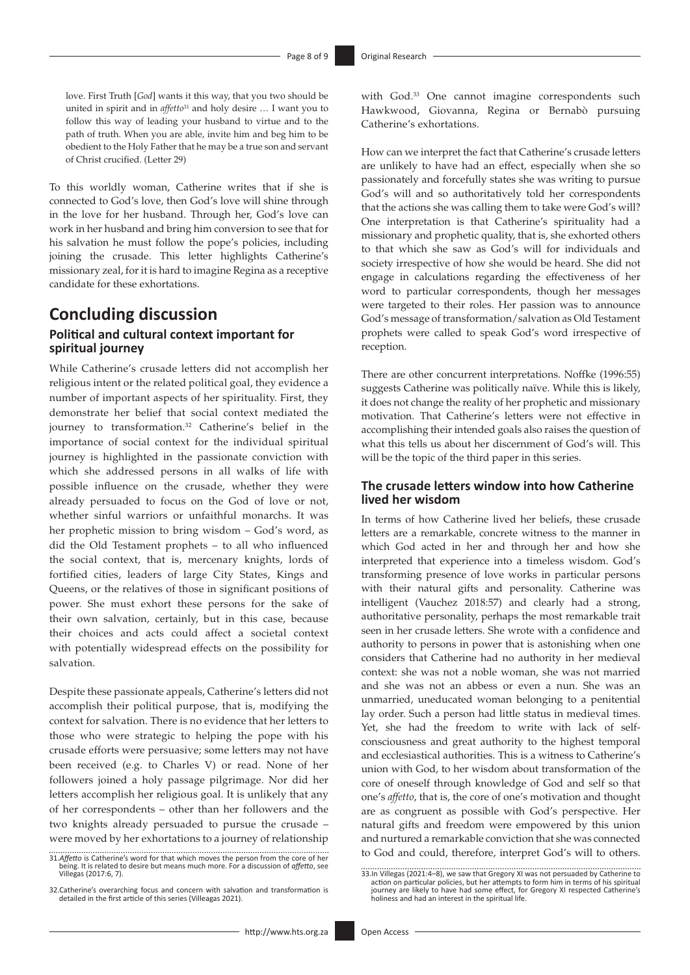love. First Truth [*God*] wants it this way, that you two should be united in spirit and in *affetto*<sup>31</sup> and holy desire ... I want you to follow this way of leading your husband to virtue and to the path of truth. When you are able, invite him and beg him to be obedient to the Holy Father that he may be a true son and servant of Christ crucified. (Letter 29)

To this worldly woman, Catherine writes that if she is connected to God's love, then God's love will shine through in the love for her husband. Through her, God's love can work in her husband and bring him conversion to see that for his salvation he must follow the pope's policies, including joining the crusade. This letter highlights Catherine's missionary zeal, for it is hard to imagine Regina as a receptive candidate for these exhortations.

### **Concluding discussion Political and cultural context important for spiritual journey**

While Catherine's crusade letters did not accomplish her religious intent or the related political goal, they evidence a number of important aspects of her spirituality. First, they demonstrate her belief that social context mediated the journey to transformation.32 Catherine's belief in the importance of social context for the individual spiritual journey is highlighted in the passionate conviction with which she addressed persons in all walks of life with possible influence on the crusade, whether they were already persuaded to focus on the God of love or not, whether sinful warriors or unfaithful monarchs. It was her prophetic mission to bring wisdom – God's word, as did the Old Testament prophets – to all who influenced the social context, that is, mercenary knights, lords of fortified cities, leaders of large City States, Kings and Queens, or the relatives of those in significant positions of power. She must exhort these persons for the sake of their own salvation, certainly, but in this case, because their choices and acts could affect a societal context with potentially widespread effects on the possibility for salvation.

Despite these passionate appeals, Catherine's letters did not accomplish their political purpose, that is, modifying the context for salvation. There is no evidence that her letters to those who were strategic to helping the pope with his crusade efforts were persuasive; some letters may not have been received (e.g. to Charles V) or read. None of her followers joined a holy passage pilgrimage. Nor did her letters accomplish her religious goal. It is unlikely that any of her correspondents – other than her followers and the two knights already persuaded to pursue the crusade – were moved by her exhortations to a journey of relationship

with God.<sup>33</sup> One cannot imagine correspondents such Hawkwood, Giovanna, Regina or Bernabò pursuing Catherine's exhortations.

How can we interpret the fact that Catherine's crusade letters are unlikely to have had an effect, especially when she so passionately and forcefully states she was writing to pursue God's will and so authoritatively told her correspondents that the actions she was calling them to take were God's will? One interpretation is that Catherine's spirituality had a missionary and prophetic quality, that is, she exhorted others to that which she saw as God's will for individuals and society irrespective of how she would be heard. She did not engage in calculations regarding the effectiveness of her word to particular correspondents, though her messages were targeted to their roles. Her passion was to announce God's message of transformation/salvation as Old Testament prophets were called to speak God's word irrespective of reception.

There are other concurrent interpretations. Noffke (1996:55) suggests Catherine was politically naïve. While this is likely, it does not change the reality of her prophetic and missionary motivation. That Catherine's letters were not effective in accomplishing their intended goals also raises the question of what this tells us about her discernment of God's will. This will be the topic of the third paper in this series.

#### **The crusade letters window into how Catherine lived her wisdom**

In terms of how Catherine lived her beliefs, these crusade letters are a remarkable, concrete witness to the manner in which God acted in her and through her and how she interpreted that experience into a timeless wisdom. God's transforming presence of love works in particular persons with their natural gifts and personality. Catherine was intelligent (Vauchez 2018:57) and clearly had a strong, authoritative personality, perhaps the most remarkable trait seen in her crusade letters. She wrote with a confidence and authority to persons in power that is astonishing when one considers that Catherine had no authority in her medieval context: she was not a noble woman, she was not married and she was not an abbess or even a nun. She was an unmarried, uneducated woman belonging to a penitential lay order. Such a person had little status in medieval times. Yet, she had the freedom to write with lack of selfconsciousness and great authority to the highest temporal and ecclesiastical authorities. This is a witness to Catherine's union with God, to her wisdom about transformation of the core of oneself through knowledge of God and self so that one's *affetto*, that is, the core of one's motivation and thought are as congruent as possible with God's perspective. Her natural gifts and freedom were empowered by this union and nurtured a remarkable conviction that she was connected to God and could, therefore, interpret God's will to others.

<sup>31.</sup>*Affetto* is Catherine's word for that which moves the person from the core of her being. It is related to desire but means much more. For a discussion of *affetto*, see Villegas (2017:6, 7).

<sup>32.</sup>Catherine's overarching focus and concern with salvation and transformation is detailed in the first article of this series (Villeagas 2021).

<sup>33.</sup>In Villegas (2021:4–8), we saw that Gregory XI was not persuaded by Catherine to<br>cotion on particular policies, but her attempts to form him in terms of his spiritual<br>journey are likely to have had some effect, for Greg holiness and had an interest in the spiritual life.